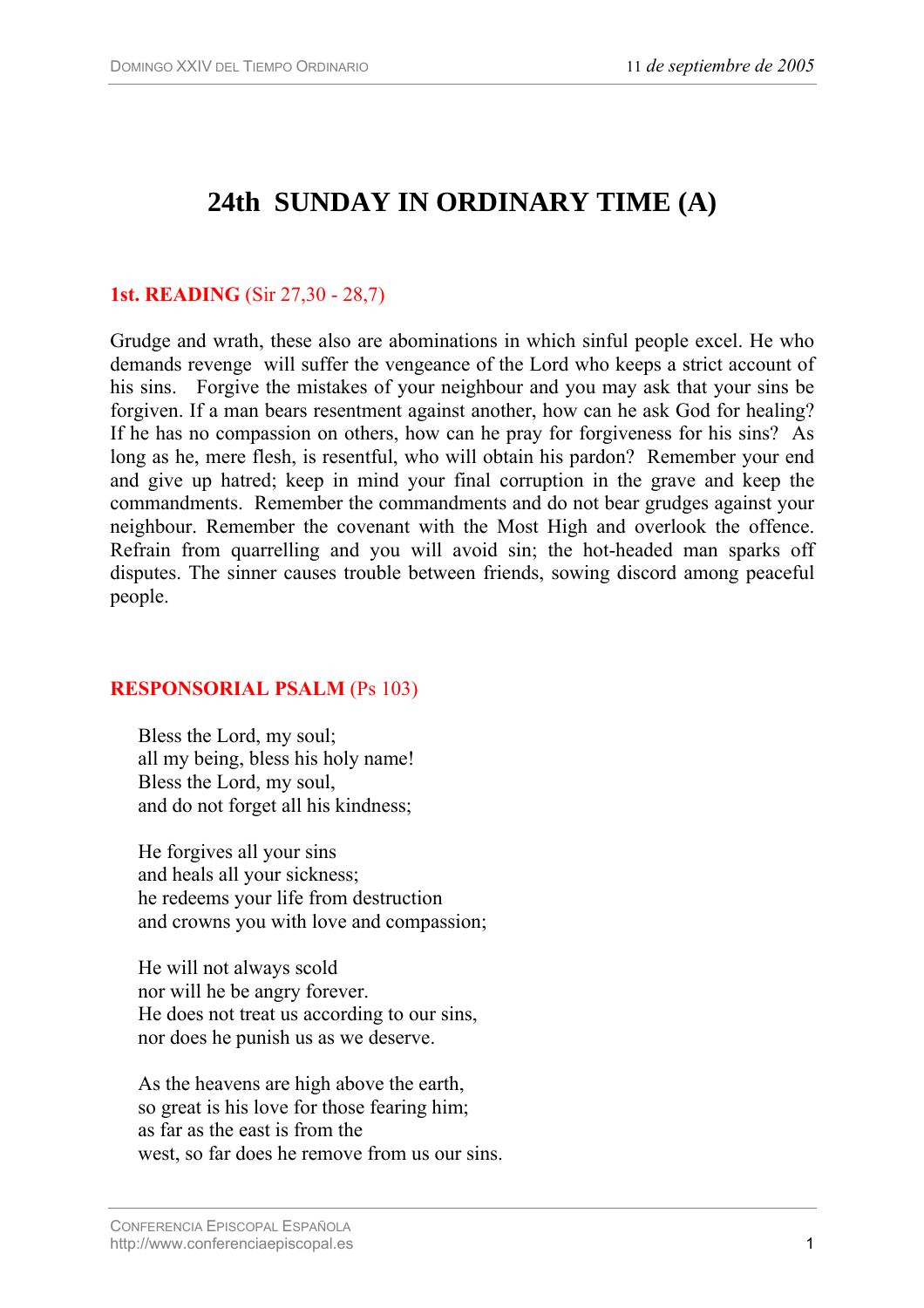# **24th SUNDAY IN ORDINARY TIME (A)**

### **1st. READING** (Sir 27,30 - 28,7)

Grudge and wrath, these also are abominations in which sinful people excel. He who demands revenge will suffer the vengeance of the Lord who keeps a strict account of his sins. Forgive the mistakes of your neighbour and you may ask that your sins be forgiven. If a man bears resentment against another, how can he ask God for healing? If he has no compassion on others, how can he pray for forgiveness for his sins? As long as he, mere flesh, is resentful, who will obtain his pardon? Remember your end and give up hatred; keep in mind your final corruption in the grave and keep the commandments. Remember the commandments and do not bear grudges against your neighbour. Remember the covenant with the Most High and overlook the offence. Refrain from quarrelling and you will avoid sin; the hot-headed man sparks off disputes. The sinner causes trouble between friends, sowing discord among peaceful people.

## **RESPONSORIAL PSALM** (Ps 103)

Bless the Lord, my soul; all my being, bless his holy name! Bless the Lord, my soul, and do not forget all his kindness;

He forgives all your sins and heals all your sickness; he redeems your life from destruction and crowns you with love and compassion;

He will not always scold nor will he be angry forever. He does not treat us according to our sins, nor does he punish us as we deserve.

As the heavens are high above the earth, so great is his love for those fearing him; as far as the east is from the west, so far does he remove from us our sins.